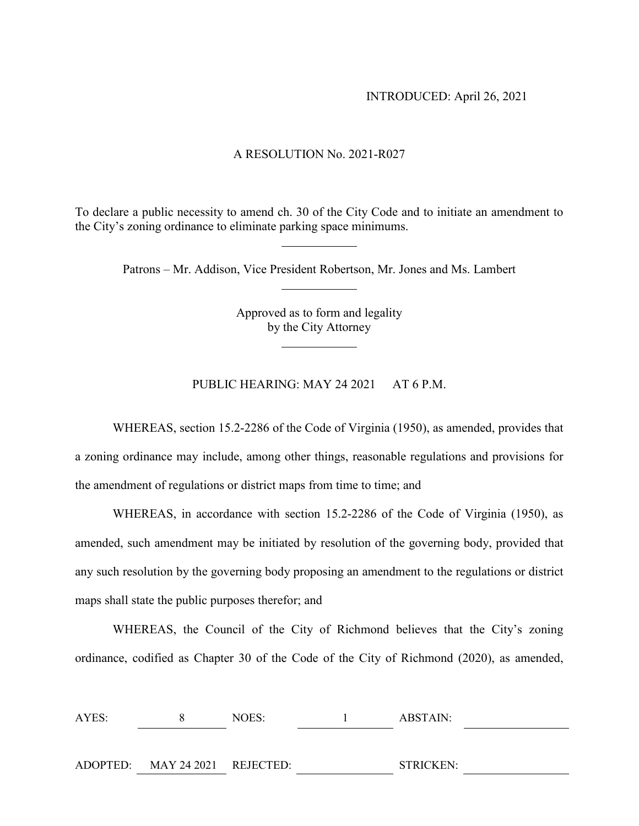### INTRODUCED: April 26, 2021

#### A RESOLUTION No. 2021-R027

To declare a public necessity to amend ch. 30 of the City Code and to initiate an amendment to the City's zoning ordinance to eliminate parking space minimums.

Patrons – Mr. Addison, Vice President Robertson, Mr. Jones and Ms. Lambert

Approved as to form and legality by the City Attorney

PUBLIC HEARING: MAY 24 2021 AT 6 P.M.

WHEREAS, section 15.2-2286 of the Code of Virginia (1950), as amended, provides that a zoning ordinance may include, among other things, reasonable regulations and provisions for the amendment of regulations or district maps from time to time; and

WHEREAS, in accordance with section 15.2-2286 of the Code of Virginia (1950), as amended, such amendment may be initiated by resolution of the governing body, provided that any such resolution by the governing body proposing an amendment to the regulations or district maps shall state the public purposes therefor; and

WHEREAS, the Council of the City of Richmond believes that the City's zoning ordinance, codified as Chapter 30 of the Code of the City of Richmond (2020), as amended,

| AYES: |                                | NOES: | ABSTAIN:         |  |
|-------|--------------------------------|-------|------------------|--|
|       |                                |       |                  |  |
|       | ADOPTED: MAY 24 2021 REJECTED: |       | <b>STRICKEN:</b> |  |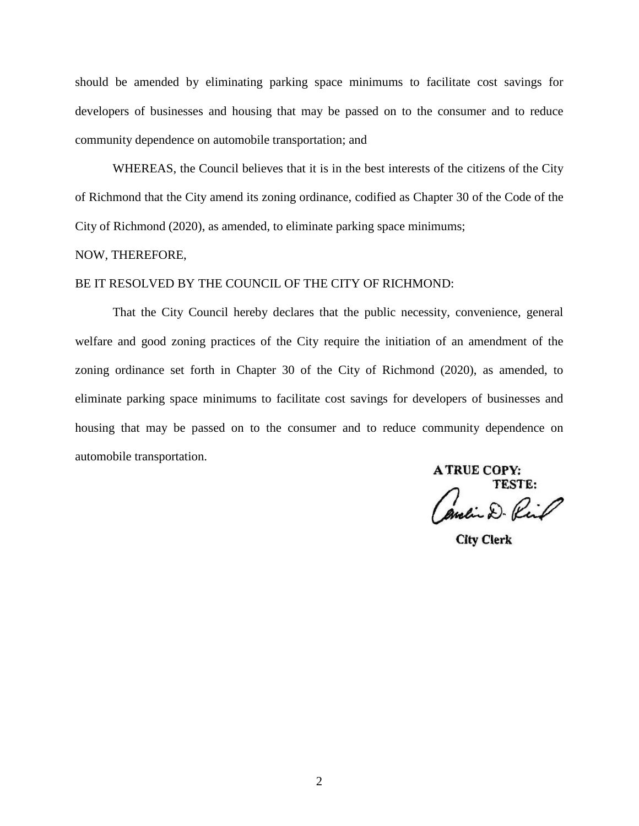should be amended by eliminating parking space minimums to facilitate cost savings for developers of businesses and housing that may be passed on to the consumer and to reduce community dependence on automobile transportation; and

WHEREAS, the Council believes that it is in the best interests of the citizens of the City of Richmond that the City amend its zoning ordinance, codified as Chapter 30 of the Code of the City of Richmond (2020), as amended, to eliminate parking space minimums;

### NOW, THEREFORE,

## BE IT RESOLVED BY THE COUNCIL OF THE CITY OF RICHMOND:

That the City Council hereby declares that the public necessity, convenience, general welfare and good zoning practices of the City require the initiation of an amendment of the zoning ordinance set forth in Chapter 30 of the City of Richmond (2020), as amended, to eliminate parking space minimums to facilitate cost savings for developers of businesses and housing that may be passed on to the consumer and to reduce community dependence on automobile transportation.

**A TRUE COPY:** 

ancia D. Rich

**City Clerk**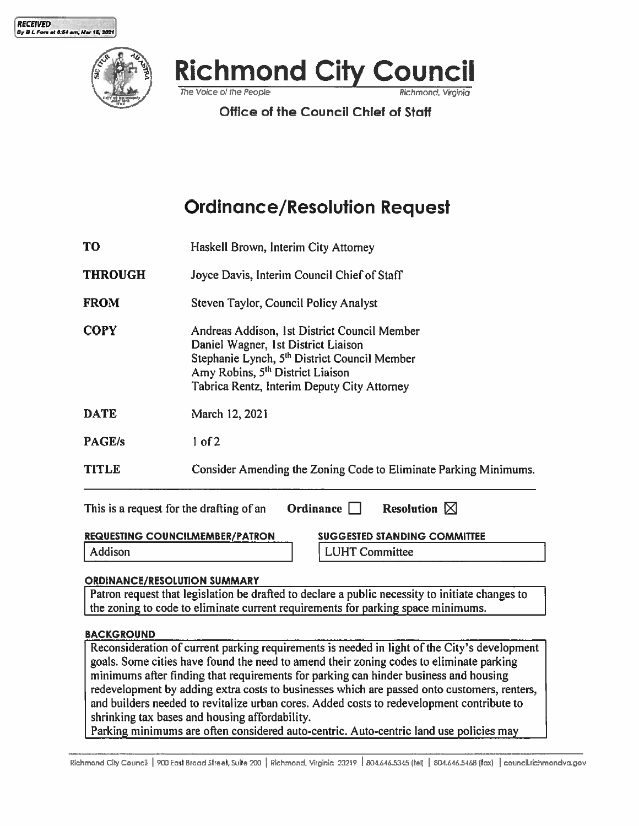





The Voice of the People

**Office of the Council Chief of Staff** 

Richmond. Virainia

# **Ordinance/Resolution Request**

- **TO** Haskell Brown, Interim City Attorney
- Joyce Davis, Interim Council Chief of Staff **THROUGH**
- **FROM** Steven Taylor, Council Policy Analyst
- Andreas Addison, 1st District Council Member **COPY** Daniel Wagner, 1st District Liaison Stephanie Lynch, 5<sup>th</sup> District Council Member Amy Robins, 5<sup>th</sup> District Liaison Tabrica Rentz, Interim Deputy City Attorney

**DATE** March 12, 2021

- PAGE/s  $1 of 2$
- **TITLE** Consider Amending the Zoning Code to Eliminate Parking Minimums.

| This is a request for the drafting of an | Ordinance $\Box$ | <b>Resolution</b> $\boxtimes$       |
|------------------------------------------|------------------|-------------------------------------|
| <b>REQUESTING COUNCILMEMBER/PATRON</b>   |                  | <b>SUGGESTED STANDING COMMITTEE</b> |

Addison

**LUHT Committee** 

## ORDINANCE/RESOLUTION SUMMARY

Patron request that legislation be drafted to declare a public necessity to initiate changes to the zoning to code to eliminate current requirements for parking space minimums.

## **BACKGROUND**

Reconsideration of current parking requirements is needed in light of the City's development goals. Some cities have found the need to amend their zoning codes to eliminate parking minimums after finding that requirements for parking can hinder business and housing redevelopment by adding extra costs to businesses which are passed onto customers, renters, and builders needed to revitalize urban cores. Added costs to redevelopment contribute to shrinking tax bases and housing affordability.

Parking minimums are often considered auto-centric. Auto-centric land use policies may

Richmond City Council | 900 East Broad Street, Suite 200 | Richmond, Virginia 23219 | 804.646.5345 (tel) | 804.646.5468 (fax) | council richmondva.gov